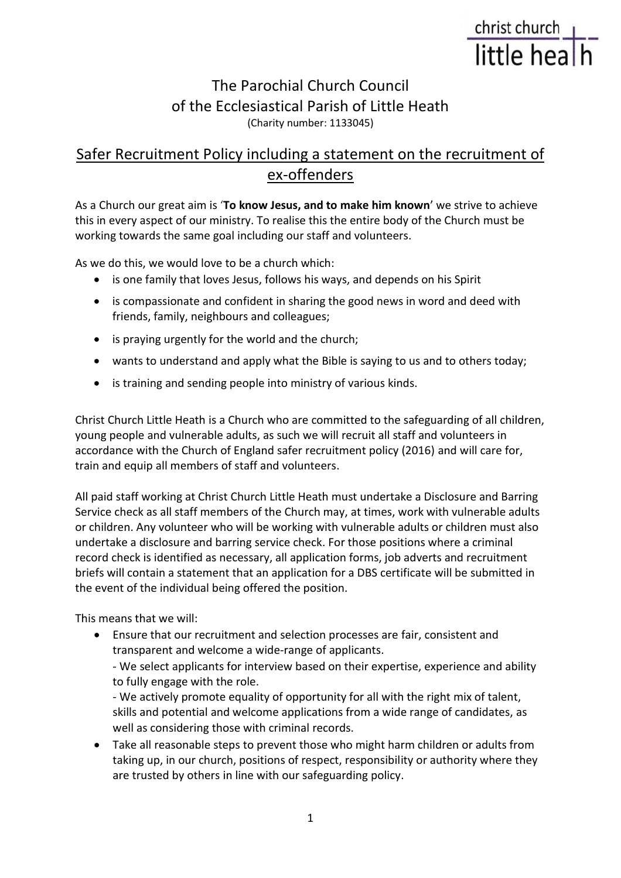# christ church<br>little hea

## The Parochial Church Council of the Ecclesiastical Parish of Little Heath (Charity number: 1133045)

## Safer Recruitment Policy including a statement on the recruitment of ex-offenders

As a Church our great aim is '**To know Jesus, and to make him known**' we strive to achieve this in every aspect of our ministry. To realise this the entire body of the Church must be working towards the same goal including our staff and volunteers.

As we do this, we would love to be a church which:

- is one family that loves Jesus, follows his ways, and depends on his Spirit
- is compassionate and confident in sharing the good news in word and deed with friends, family, neighbours and colleagues;
- is praying urgently for the world and the church;
- wants to understand and apply what the Bible is saying to us and to others today;
- is training and sending people into ministry of various kinds.

Christ Church Little Heath is a Church who are committed to the safeguarding of all children, young people and vulnerable adults, as such we will recruit all staff and volunteers in accordance with the Church of England safer recruitment policy (2016) and will care for, train and equip all members of staff and volunteers.

All paid staff working at Christ Church Little Heath must undertake a Disclosure and Barring Service check as all staff members of the Church may, at times, work with vulnerable adults or children. Any volunteer who will be working with vulnerable adults or children must also undertake a disclosure and barring service check. For those positions where a criminal record check is identified as necessary, all application forms, job adverts and recruitment briefs will contain a statement that an application for a DBS certificate will be submitted in the event of the individual being offered the position.

This means that we will:

• Ensure that our recruitment and selection processes are fair, consistent and transparent and welcome a wide-range of applicants.

- We select applicants for interview based on their expertise, experience and ability to fully engage with the role.

- We actively promote equality of opportunity for all with the right mix of talent, skills and potential and welcome applications from a wide range of candidates, as well as considering those with criminal records.

• Take all reasonable steps to prevent those who might harm children or adults from taking up, in our church, positions of respect, responsibility or authority where they are trusted by others in line with our safeguarding policy.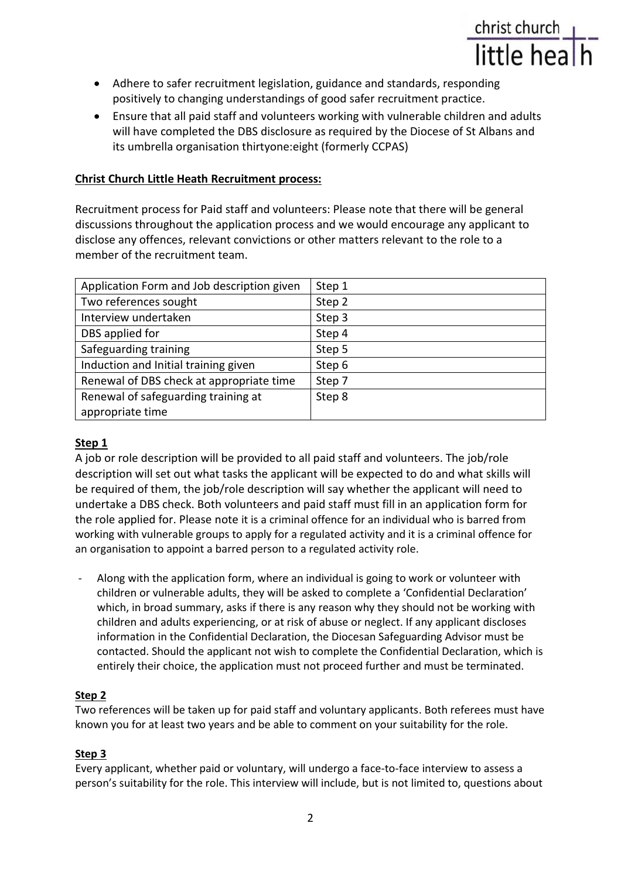- Adhere to safer recruitment legislation, guidance and standards, responding positively to changing understandings of good safer recruitment practice.
- Ensure that all paid staff and volunteers working with vulnerable children and adults will have completed the DBS disclosure as required by the Diocese of St Albans and its umbrella organisation thirtyone:eight (formerly CCPAS)

christ church<br>little hea

#### **Christ Church Little Heath Recruitment process:**

Recruitment process for Paid staff and volunteers: Please note that there will be general discussions throughout the application process and we would encourage any applicant to disclose any offences, relevant convictions or other matters relevant to the role to a member of the recruitment team.

| Application Form and Job description given | Step 1 |
|--------------------------------------------|--------|
| Two references sought                      | Step 2 |
| Interview undertaken                       | Step 3 |
| DBS applied for                            | Step 4 |
| Safeguarding training                      | Step 5 |
| Induction and Initial training given       | Step 6 |
| Renewal of DBS check at appropriate time   | Step 7 |
| Renewal of safeguarding training at        | Step 8 |
| appropriate time                           |        |

#### **Step 1**

A job or role description will be provided to all paid staff and volunteers. The job/role description will set out what tasks the applicant will be expected to do and what skills will be required of them, the job/role description will say whether the applicant will need to undertake a DBS check. Both volunteers and paid staff must fill in an application form for the role applied for. Please note it is a criminal offence for an individual who is barred from working with vulnerable groups to apply for a regulated activity and it is a criminal offence for an organisation to appoint a barred person to a regulated activity role.

- Along with the application form, where an individual is going to work or volunteer with children or vulnerable adults, they will be asked to complete a 'Confidential Declaration' which, in broad summary, asks if there is any reason why they should not be working with children and adults experiencing, or at risk of abuse or neglect. If any applicant discloses information in the Confidential Declaration, the Diocesan Safeguarding Advisor must be contacted. Should the applicant not wish to complete the Confidential Declaration, which is entirely their choice, the application must not proceed further and must be terminated.

#### **Step 2**

Two references will be taken up for paid staff and voluntary applicants. Both referees must have known you for at least two years and be able to comment on your suitability for the role.

#### **Step 3**

Every applicant, whether paid or voluntary, will undergo a face-to-face interview to assess a person's suitability for the role. This interview will include, but is not limited to, questions about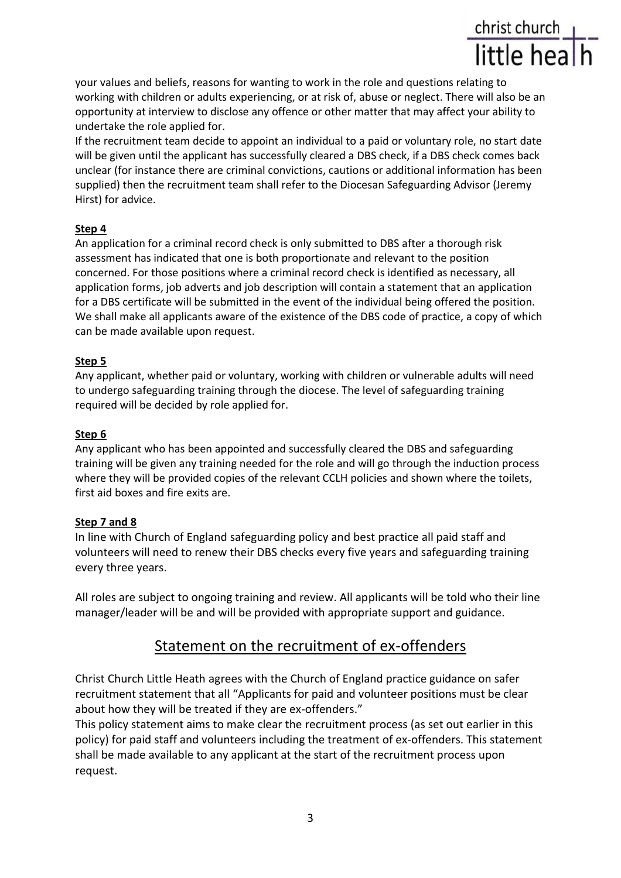your values and beliefs, reasons for wanting to work in the role and questions relating to working with children or adults experiencing, or at risk of, abuse or neglect. There will also be an opportunity at interview to disclose any offence or other matter that may affect your ability to undertake the role applied for.

christ church<br>little hea

If the recruitment team decide to appoint an individual to a paid or voluntary role, no start date will be given until the applicant has successfully cleared a DBS check, if a DBS check comes back unclear (for instance there are criminal convictions, cautions or additional information has been supplied) then the recruitment team shall refer to the Diocesan Safeguarding Advisor (Jeremy Hirst) for advice.

#### **Step 4**

An application for a criminal record check is only submitted to DBS after a thorough risk assessment has indicated that one is both proportionate and relevant to the position concerned. For those positions where a criminal record check is identified as necessary, all application forms, job adverts and job description will contain a statement that an application for a DBS certificate will be submitted in the event of the individual being offered the position. We shall make all applicants aware of the existence of the DBS code of practice, a copy of which can be made available upon request.

#### **Step 5**

Any applicant, whether paid or voluntary, working with children or vulnerable adults will need to undergo safeguarding training through the diocese. The level of safeguarding training required will be decided by role applied for.

#### **Step 6**

Any applicant who has been appointed and successfully cleared the DBS and safeguarding training will be given any training needed for the role and will go through the induction process where they will be provided copies of the relevant CCLH policies and shown where the toilets, first aid boxes and fire exits are.

#### **Step 7 and 8**

In line with Church of England safeguarding policy and best practice all paid staff and volunteers will need to renew their DBS checks every five years and safeguarding training every three years.

All roles are subject to ongoing training and review. All applicants will be told who their line manager/leader will be and will be provided with appropriate support and guidance.

### Statement on the recruitment of ex-offenders

Christ Church Little Heath agrees with the Church of England practice guidance on safer recruitment statement that all "Applicants for paid and volunteer positions must be clear about how they will be treated if they are ex-offenders."

This policy statement aims to make clear the recruitment process (as set out earlier in this policy) for paid staff and volunteers including the treatment of ex-offenders. This statement shall be made available to any applicant at the start of the recruitment process upon request.